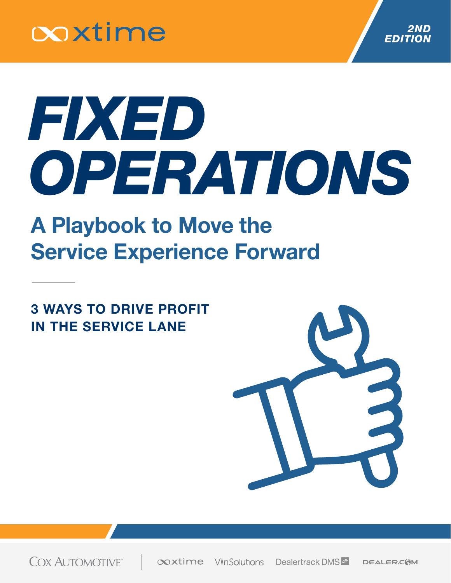



# *FIXED OPERATIONS*

### A Playbook to Move the Service Experience Forward

3 WAYS TO DRIVE PROFIT IN THE SERVICE LANE



**COX AUTOMOTIVE** 

**Coxtime** VinSolutions Dealertrack DMS **DEALER.COM**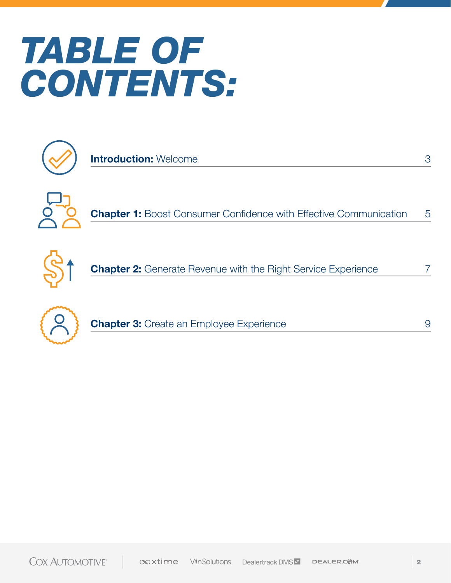### *TABLE OF CONTENTS:*



**Introduction: Welcome** 



Chapter 1: Boost Consumer Confidence with Effective Communication 5



**Chapter 2:** Generate Revenue with the Right Service Experience



**Chapter 3: Create an Employee Experience** 

3

7

9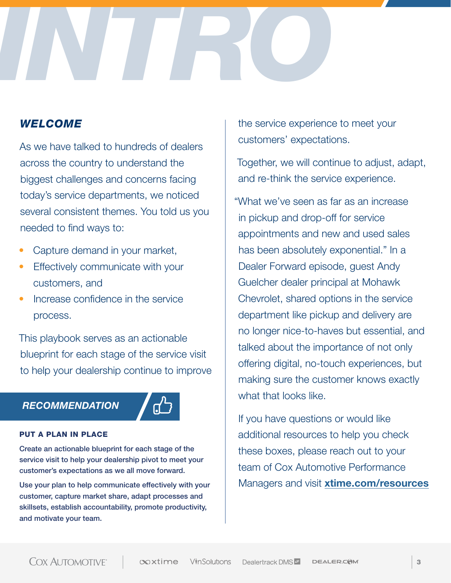

### *WELCOME*

As we have talked to hundreds of dealers across the country to understand the biggest challenges and concerns facing today's service departments, we noticed several consistent themes. You told us you needed to find ways to:

- Capture demand in your market,
- Effectively communicate with your customers, and
- Increase confidence in the service process.

This playbook serves as an actionable blueprint for each stage of the service visit to help your dealership continue to improve

#### *RECOMMENDATION*



#### PUT A PLAN IN PLACE

Create an actionable blueprint for each stage of the service visit to help your dealership pivot to meet your customer's expectations as we all move forward.

Use your plan to help communicate effectively with your customer, capture market share, adapt processes and skillsets, establish accountability, promote productivity, and motivate your team.

the service experience to meet your customers' expectations.

Together, we will continue to adjust, adapt, and re-think the service experience.

"What we've seen as far as an increase in pickup and drop-off for service appointments and new and used sales has been absolutely exponential." In a Dealer Forward episode, guest Andy Guelcher dealer principal at Mohawk Chevrolet, shared options in the service department like pickup and delivery are no longer nice-to-haves but essential, and talked about the importance of not only offering digital, no-touch experiences, but making sure the customer knows exactly what that looks like.

If you have questions or would like additional resources to help you check these boxes, please reach out to your team of Cox Automotive Performance Managers and visit **[xtime.com/resources](https://xtime.com/resources)**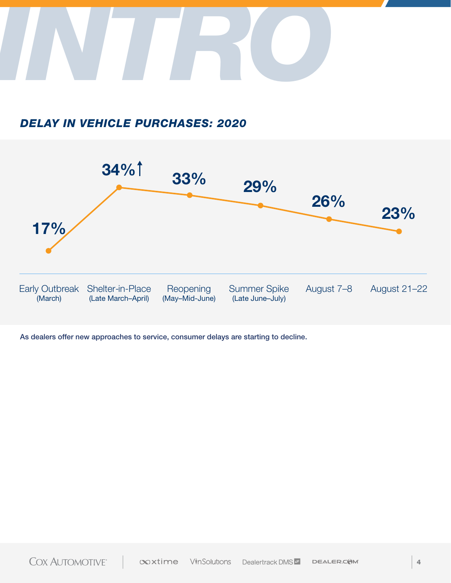

### *DELAY IN VEHICLE PURCHASES: 2020*



As dealers offer new approaches to service, consumer delays are starting to decline.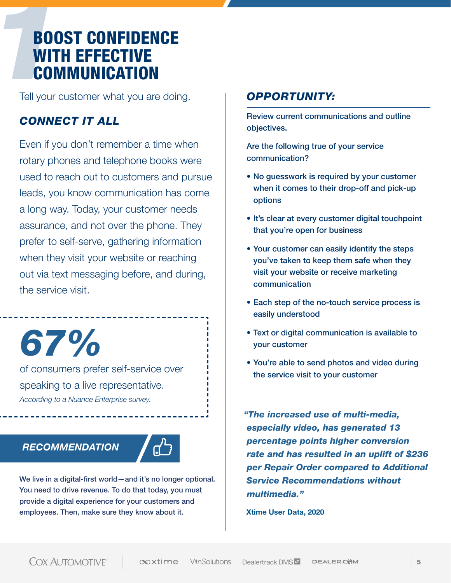## **12BOOST CONFIDENCE<br>
WITH EFFECTIVE<br>
<b>COMMUNICATION**<br>
Tell your customer what you are doing WITH EFFECTIVE **COMMUNICATION**

Tell your customer what you are doing.

### *CONNECT IT ALL*

Even if you don't remember a time when rotary phones and telephone books were used to reach out to customers and pursue leads, you know communication has come a long way. Today, your customer needs assurance, and not over the phone. They prefer to self-serve, gathering information when they visit your website or reaching out via text messaging before, and during, the service visit.

*67%*

of consumers prefer self-service over speaking to a live representative. *According to a Nuance Enterprise survey.*

### *RECOMMENDATION*



We live in a digital-first world—and it's no longer optional. You need to drive revenue. To do that today, you must provide a digital experience for your customers and employees. Then, make sure they know about it.

### *OPPORTUNITY:*

Review current communications and outline objectives.

Are the following true of your service communication?

- No guesswork is required by your customer when it comes to their drop-off and pick-up options
- It's clear at every customer digital touchpoint that you're open for business
- Your customer can easily identify the steps you've taken to keep them safe when they visit your website or receive marketing communication
- Each step of the no-touch service process is easily understood
- Text or digital communication is available to your customer
- You're able to send photos and video during the service visit to your customer

*"The increased use of multi-media, especially video, has generated 13 percentage points higher conversion rate and has resulted in an uplift of \$236 per Repair Order compared to Additional Service Recommendations without multimedia."*

Xtime User Data, 2020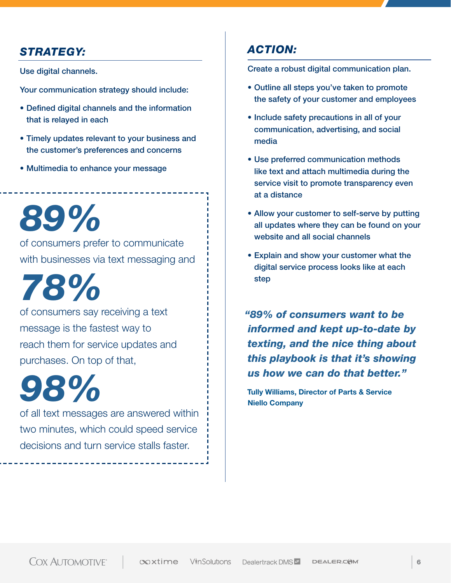### *STRATEGY:*

Use digital channels.

Your communication strategy should include:

- Defined digital channels and the information that is relayed in each
- Timely updates relevant to your business and the customer's preferences and concerns
- Multimedia to enhance your message

of consumers prefer to communicate with businesses via text messaging and *89%*

*78%*

of consumers say receiving a text message is the fastest way to reach them for service updates and purchases. On top of that,

*98%*

of all text messages are answered within two minutes, which could speed service decisions and turn service stalls faster.

### *ACTION:*

Create a robust digital communication plan.

- Outline all steps you've taken to promote the safety of your customer and employees
- Include safety precautions in all of your communication, advertising, and social media
- Use preferred communication methods like text and attach multimedia during the service visit to promote transparency even at a distance
- Allow your customer to self-serve by putting all updates where they can be found on your website and all social channels
- Explain and show your customer what the digital service process looks like at each step

*"89% of consumers want to be informed and kept up-to-date by texting, and the nice thing about this playbook is that it's showing us how we can do that better."*

Tully Williams, Director of Parts & Service Niello Company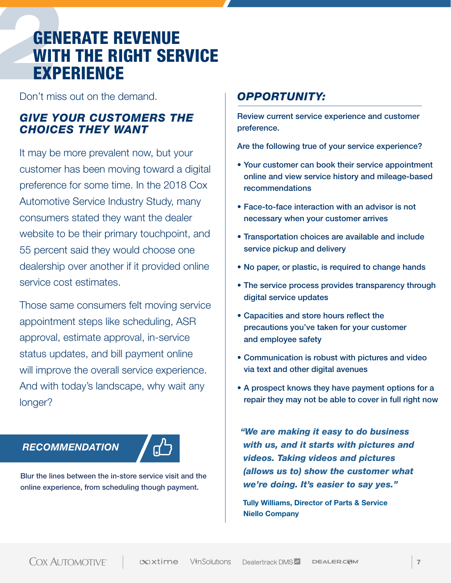## **22GENERATE REVENUE<br>
22GENERATE RIGHT SER<br>
22 EXPERIENCE**<br>
22GO The demand. WITH THE RIGHT SERVICE **EXPERIENCE**

Don't miss out on the demand.

### *GIVE YOUR CUSTOMERS THE CHOICES THEY WANT*

It may be more prevalent now, but your customer has been moving toward a digital preference for some time. In the 2018 Cox Automotive Service Industry Study, many consumers stated they want the dealer website to be their primary touchpoint, and 55 percent said they would choose one dealership over another if it provided online service cost estimates.

Those same consumers felt moving service appointment steps like scheduling, ASR approval, estimate approval, in-service status updates, and bill payment online will improve the overall service experience. And with today's landscape, why wait any longer?

### *RECOMMENDATION*



Blur the lines between the in-store service visit and the online experience, from scheduling though payment.

### *OPPORTUNITY:*

Review current service experience and customer preference.

Are the following true of your service experience?

- Your customer can book their service appointment online and view service history and mileage-based recommendations
- Face-to-face interaction with an advisor is not necessary when your customer arrives
- Transportation choices are available and include service pickup and delivery
- No paper, or plastic, is required to change hands
- The service process provides transparency through digital service updates
- Capacities and store hours reflect the precautions you've taken for your customer and employee safety
- Communication is robust with pictures and video via text and other digital avenues
- A prospect knows they have payment options for a repair they may not be able to cover in full right now

*"We are making it easy to do business with us, and it starts with pictures and videos. Taking videos and pictures (allows us to) show the customer what we're doing. It's easier to say yes."*

Tully Williams, Director of Parts & Service Niello Company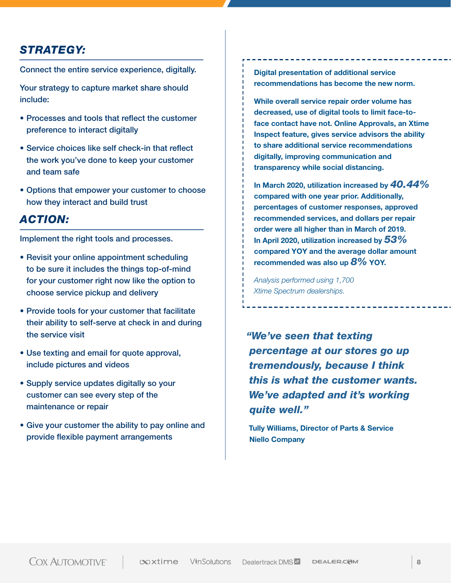### *STRATEGY:*

Connect the entire service experience, digitally.

Your strategy to capture market share should include:

- Processes and tools that reflect the customer preference to interact digitally
- Service choices like self check-in that reflect the work you've done to keep your customer and team safe
- Options that empower your customer to choose how they interact and build trust

### *ACTION:*

Implement the right tools and processes.

- Revisit your online appointment scheduling to be sure it includes the things top-of-mind for your customer right now like the option to choose service pickup and delivery
- Provide tools for your customer that facilitate their ability to self-serve at check in and during the service visit
- Use texting and email for quote approval, include pictures and videos
- Supply service updates digitally so your customer can see every step of the maintenance or repair
- Give your customer the ability to pay online and provide flexible payment arrangements

Digital presentation of additional service recommendations has become the new norm.

While overall service repair order volume has decreased, use of digital tools to limit face-toface contact have not. Online Approvals, an Xtime Inspect feature, gives service advisors the ability to share additional service recommendations digitally, improving communication and transparency while social distancing.

In March 2020, utilization increased by *40.44%* compared with one year prior. Additionally, percentages of customer responses, approved recommended services, and dollars per repair order were all higher than in March of 2019. In April 2020, utilization increased by *53%* compared YOY and the average dollar amount recommended was also up *8%* YOY.

*Analysis performed using 1,700 Xtime Spectrum dealerships.*

*"We've seen that texting percentage at our stores go up tremendously, because I think this is what the customer wants. We've adapted and it's working quite well."*

Tully Williams, Director of Parts & Service Niello Company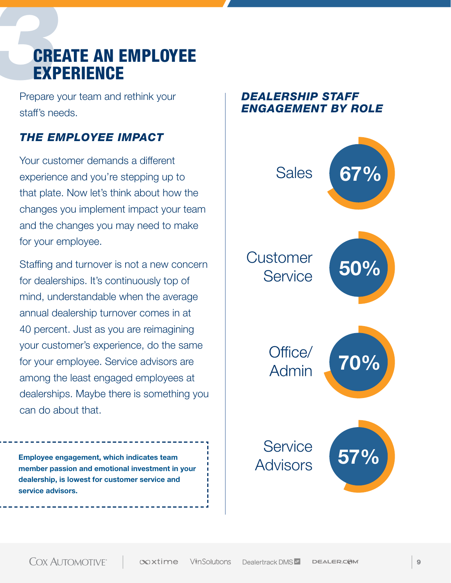## **32CREATE AN EMPLOYEE**<br>**EXPERIENCE**<br>Prepare your team and rethink your **EXPERIENCE**

Prepare your team and rethink your staff's needs.

### *THE EMPLOYEE IMPACT*

Your customer demands a different experience and you're stepping up to that plate. Now let's think about how the changes you implement impact your team and the changes you may need to make for your employee.

Staffing and turnover is not a new concern for dealerships. It's continuously top of mind, understandable when the average annual dealership turnover comes in at 40 percent. Just as you are reimagining your customer's experience, do the same for your employee. Service advisors are among the least engaged employees at dealerships. Maybe there is something you can do about that.

Employee engagement, which indicates team member passion and emotional investment in your dealership, is lowest for customer service and service advisors.

### *DEALERSHIP STAFF ENGAGEMENT BY ROLE*